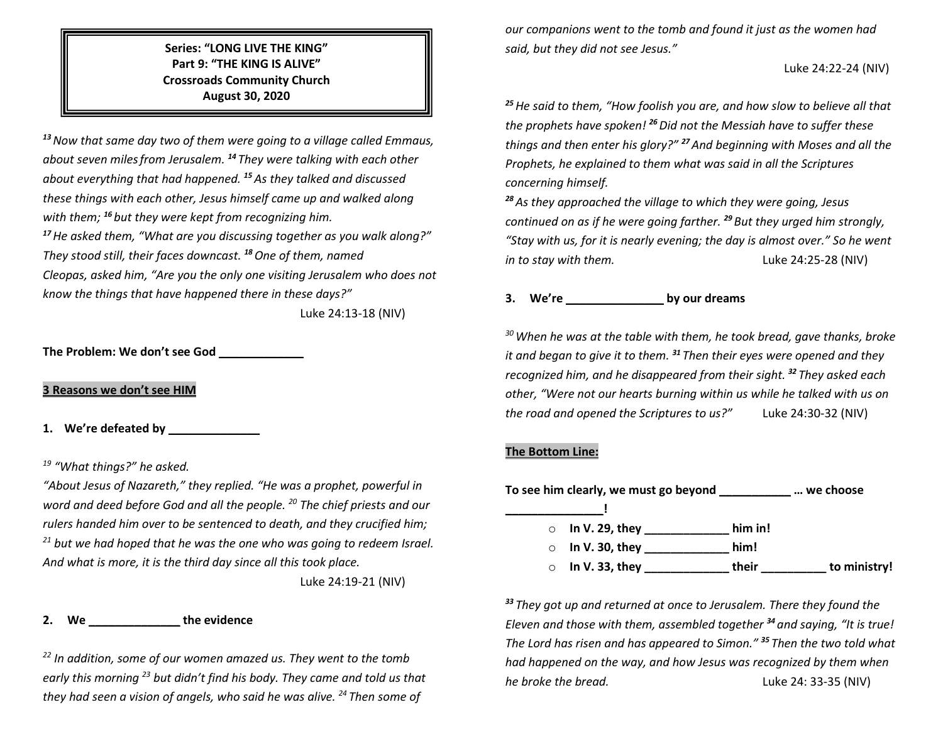## **Series: "LONG LIVE THE KING" Part 9: "THE KING IS ALIVE" Crossroads Community Church August 30, 2020**

*<sup>13</sup>Now that same day two of them were going to a village called Emmaus, about seven milesfrom Jerusalem. <sup>14</sup> They were talking with each other about everything that had happened. <sup>15</sup> As they talked and discussed these things with each other, Jesus himself came up and walked along with them; <sup>16</sup> but they were kept from recognizing him.*

*<sup>17</sup>He asked them, "What are you discussing together as you walk along?" They stood still, their faces downcast. <sup>18</sup>One of them, named Cleopas, asked him, "Are you the only one visiting Jerusalem who does not know the things that have happened there in these days?"*

Luke 24:13-18 (NIV)

**The Problem: We don't see God \_\_\_\_\_\_\_\_\_\_\_\_\_**

**3 Reasons we don't see HIM**

**1. We're defeated by \_\_\_\_\_\_\_\_\_\_\_\_\_\_**

## *<sup>19</sup> "What things?" he asked.*

*"About Jesus of Nazareth," they replied. "He was a prophet, powerful in word and deed before God and all the people. 20 The chief priests and our rulers handed him over to be sentenced to death, and they crucified him; <sup>21</sup> but we had hoped that he was the one who was going to redeem Israel. And what is more, it is the third day since all this took place.* 

Luke 24:19-21 (NIV)

## **2. We \_\_\_\_\_\_\_\_\_\_\_\_\_\_ the evidence**

*<sup>22</sup> In addition, some of our women amazed us. They went to the tomb early this morning 23 but didn't find his body. They came and told us that they had seen a vision of angels, who said he was alive. 24 Then some of* 

*our companions went to the tomb and found it just as the women had said, but they did not see Jesus."*

#### Luke 24:22-24 (NIV)

*<sup>25</sup>He said to them, "How foolish you are, and how slow to believe all that the prophets have spoken! <sup>26</sup>Did not the Messiah have to suffer these things and then enter his glory?" <sup>27</sup>And beginning with Moses and all the Prophets, he explained to them what was said in all the Scriptures concerning himself.*

*<sup>28</sup>As they approached the village to which they were going, Jesus continued on as if he were going farther. <sup>29</sup> But they urged him strongly, "Stay with us, for it is nearly evening; the day is almost over." So he went in to stay with them.* Luke 24:25-28 (NIV)

# **3. We're \_\_\_\_\_\_\_\_\_\_\_\_\_\_\_ by our dreams**

*30When he was at the table with them, he took bread, gave thanks, broke it and began to give it to them. <sup>31</sup> Then their eyes were opened and they recognized him, and he disappeared from their sight. <sup>32</sup> They asked each other, "Were not our hearts burning within us while he talked with us on the road and opened the Scriptures to us?"* Luke 24:30-32 (NIV)

### **The Bottom Line:**

| To see him clearly, we must go beyond |         | we choose    |
|---------------------------------------|---------|--------------|
|                                       |         |              |
| $\circ$ In V. 29, they                | him in! |              |
| $\circ$ In V. 30, they                | him!    |              |
| $\circ$ In V. 33, they                | their   | to ministry! |

*<sup>33</sup> They got up and returned at once to Jerusalem. There they found the Eleven and those with them, assembled together <sup>34</sup> and saying, "It is true! The Lord has risen and has appeared to Simon." <sup>35</sup> Then the two told what had happened on the way, and how Jesus was recognized by them when he broke the bread.* Luke 24: 33-35 (NIV)